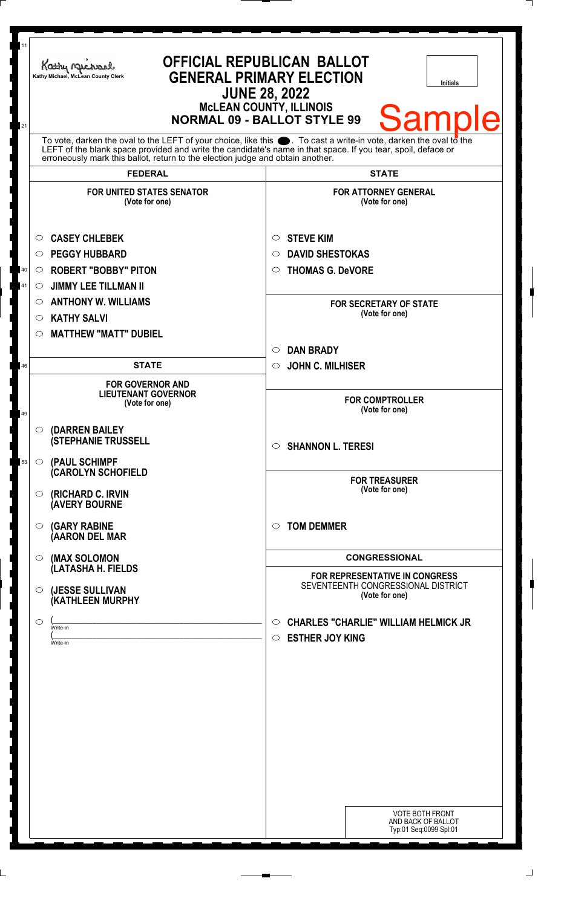| 11<br>21 | <b>OFFICIAL REPUBLICAN BALLOT</b><br>Kathy Michael<br><b>GENERAL PRIMARY ELECTION</b><br>Kathy Michael, McLean County Clerk<br><b>Initials</b><br><b>JUNE 28, 2022</b><br><b>McLEAN COUNTY, ILLINOIS</b><br><b>Sample</b><br><b>NORMAL 09 - BALLOT STYLE 99</b><br>To vote, darken the oval to the LEFT of your choice, like this $\bullet$ . To cast a write-in vote, darken the oval to the LEFT of the blank space provided and write the candidate's name in that space. If you tear, spoil, deface |                                                                                       |
|----------|---------------------------------------------------------------------------------------------------------------------------------------------------------------------------------------------------------------------------------------------------------------------------------------------------------------------------------------------------------------------------------------------------------------------------------------------------------------------------------------------------------|---------------------------------------------------------------------------------------|
|          | erroneously mark this ballot, return to the election judge and obtain another.                                                                                                                                                                                                                                                                                                                                                                                                                          |                                                                                       |
|          | <b>FEDERAL</b>                                                                                                                                                                                                                                                                                                                                                                                                                                                                                          | <b>STATE</b>                                                                          |
|          | <b>FOR UNITED STATES SENATOR</b><br>(Vote for one)                                                                                                                                                                                                                                                                                                                                                                                                                                                      | <b>FOR ATTORNEY GENERAL</b><br>(Vote for one)                                         |
|          | <b>CASEY CHLEBEK</b><br>$\circ$                                                                                                                                                                                                                                                                                                                                                                                                                                                                         | <b>STEVE KIM</b><br>$\circ$                                                           |
|          | <b>PEGGY HUBBARD</b><br>$\circ$                                                                                                                                                                                                                                                                                                                                                                                                                                                                         | <b>DAVID SHESTOKAS</b><br>$\circ$                                                     |
| $40\,$   | <b>ROBERT "BOBBY" PITON</b><br>O                                                                                                                                                                                                                                                                                                                                                                                                                                                                        | <b>THOMAS G. DeVORE</b><br>$\circ$                                                    |
| 41       | <b>JIMMY LEE TILLMAN II</b><br>$\circ$                                                                                                                                                                                                                                                                                                                                                                                                                                                                  |                                                                                       |
|          | <b>ANTHONY W. WILLIAMS</b><br>$\circ$                                                                                                                                                                                                                                                                                                                                                                                                                                                                   | <b>FOR SECRETARY OF STATE</b>                                                         |
|          | <b>KATHY SALVI</b><br>$\circ$                                                                                                                                                                                                                                                                                                                                                                                                                                                                           | (Vote for one)                                                                        |
|          | <b>MATTHEW "MATT" DUBIEL</b><br>O                                                                                                                                                                                                                                                                                                                                                                                                                                                                       |                                                                                       |
|          |                                                                                                                                                                                                                                                                                                                                                                                                                                                                                                         | <b>DAN BRADY</b><br>$\circ$                                                           |
| 46       | <b>STATE</b>                                                                                                                                                                                                                                                                                                                                                                                                                                                                                            | <b>JOHN C. MILHISER</b><br>$\circ$                                                    |
| 49       | <b>FOR GOVERNOR AND</b><br><b>LIEUTENANT GOVERNOR</b><br>(Vote for one)                                                                                                                                                                                                                                                                                                                                                                                                                                 | <b>FOR COMPTROLLER</b><br>(Vote for one)                                              |
|          | $\circ$ (DARREN BAILEY<br><b>(STEPHANIE TRUSSELL</b>                                                                                                                                                                                                                                                                                                                                                                                                                                                    | <b>SHANNON L. TERESI</b><br>$\circ$                                                   |
| 53       | (PAUL SCHIMPF<br>$\circ$<br><b>CAROLYN SCHOFIELD</b><br>(RICHARD C. IRVIN<br>$\circ$                                                                                                                                                                                                                                                                                                                                                                                                                    | <b>FOR TREASURER</b><br>(Vote for one)                                                |
|          | <b>(AVERY BOURNE</b><br><b>(GARY RABINE</b><br>$\circ$<br>(AARON DEL MAR                                                                                                                                                                                                                                                                                                                                                                                                                                | <b>TOM DEMMER</b><br>$\circ$                                                          |
|          |                                                                                                                                                                                                                                                                                                                                                                                                                                                                                                         |                                                                                       |
|          | (MAX SOLOMON<br>$\circ$<br>(LATASHA H. FIELDS                                                                                                                                                                                                                                                                                                                                                                                                                                                           | <b>CONGRESSIONAL</b><br>FOR REPRESENTATIVE IN CONGRESS                                |
|          | (JESSE SULLIVAN<br>$\circ$<br>(KATHLEEN MURPHY                                                                                                                                                                                                                                                                                                                                                                                                                                                          | SEVENTEENTH CONGRESSIONAL DISTRICT<br>(Vote for one)                                  |
|          | $\circ$<br>Write-in<br>Write-in                                                                                                                                                                                                                                                                                                                                                                                                                                                                         | <b>CHARLES "CHARLIE" WILLIAM HELMICK JR</b><br>O<br><b>ESTHER JOY KING</b><br>$\circ$ |
|          |                                                                                                                                                                                                                                                                                                                                                                                                                                                                                                         | <b>VOTE BOTH FRONT</b><br>AND BACK OF BALLOT<br>Typ:01 Seq:0099 Spl:01                |